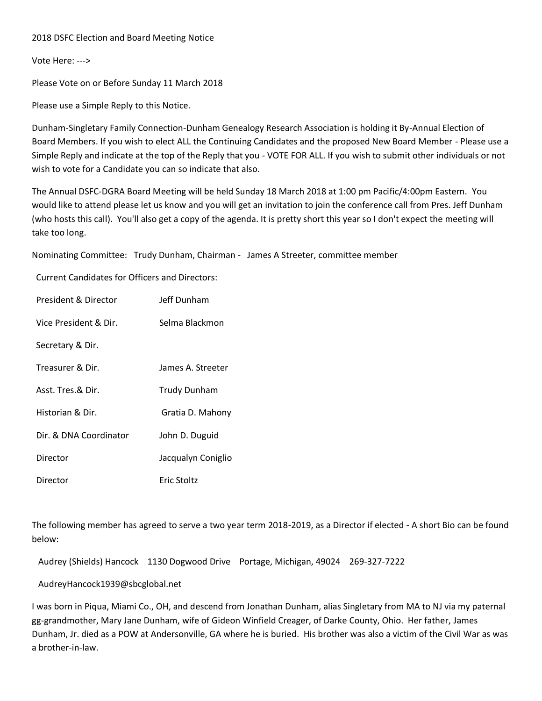## 2018 DSFC Election and Board Meeting Notice

Vote Here: --->

Please Vote on or Before Sunday 11 March 2018

Please use a Simple Reply to this Notice.

Dunham-Singletary Family Connection-Dunham Genealogy Research Association is holding it By-Annual Election of Board Members. If you wish to elect ALL the Continuing Candidates and the proposed New Board Member - Please use a Simple Reply and indicate at the top of the Reply that you - VOTE FOR ALL. If you wish to submit other individuals or not wish to vote for a Candidate you can so indicate that also.

The Annual DSFC-DGRA Board Meeting will be held Sunday 18 March 2018 at 1:00 pm Pacific/4:00pm Eastern. You would like to attend please let us know and you will get an invitation to join the conference call from Pres. Jeff Dunham (who hosts this call). You'll also get a copy of the agenda. It is pretty short this year so I don't expect the meeting will take too long.

Nominating Committee: Trudy Dunham, Chairman - James A Streeter, committee member

Current Candidates for Officers and Directors:

| President & Director   | Jeff Dunham        |
|------------------------|--------------------|
| Vice President & Dir.  | Selma Blackmon     |
| Secretary & Dir.       |                    |
| Treasurer & Dir.       | James A. Streeter  |
| Asst. Tres.& Dir.      | Trudy Dunham       |
| Historian & Dir.       | Gratia D. Mahony   |
| Dir. & DNA Coordinator | John D. Duguid     |
| Director               | Jacqualyn Coniglio |
| Director               | Eric Stoltz        |

The following member has agreed to serve a two year term 2018-2019, as a Director if elected - A short Bio can be found below:

Audrey (Shields) Hancock 1130 Dogwood Drive Portage, Michigan, 49024 269-327-7222

AudreyHancock1939@sbcglobal.net

I was born in Piqua, Miami Co., OH, and descend from Jonathan Dunham, alias Singletary from MA to NJ via my paternal gg-grandmother, Mary Jane Dunham, wife of Gideon Winfield Creager, of Darke County, Ohio. Her father, James Dunham, Jr. died as a POW at Andersonville, GA where he is buried. His brother was also a victim of the Civil War as was a brother-in-law.